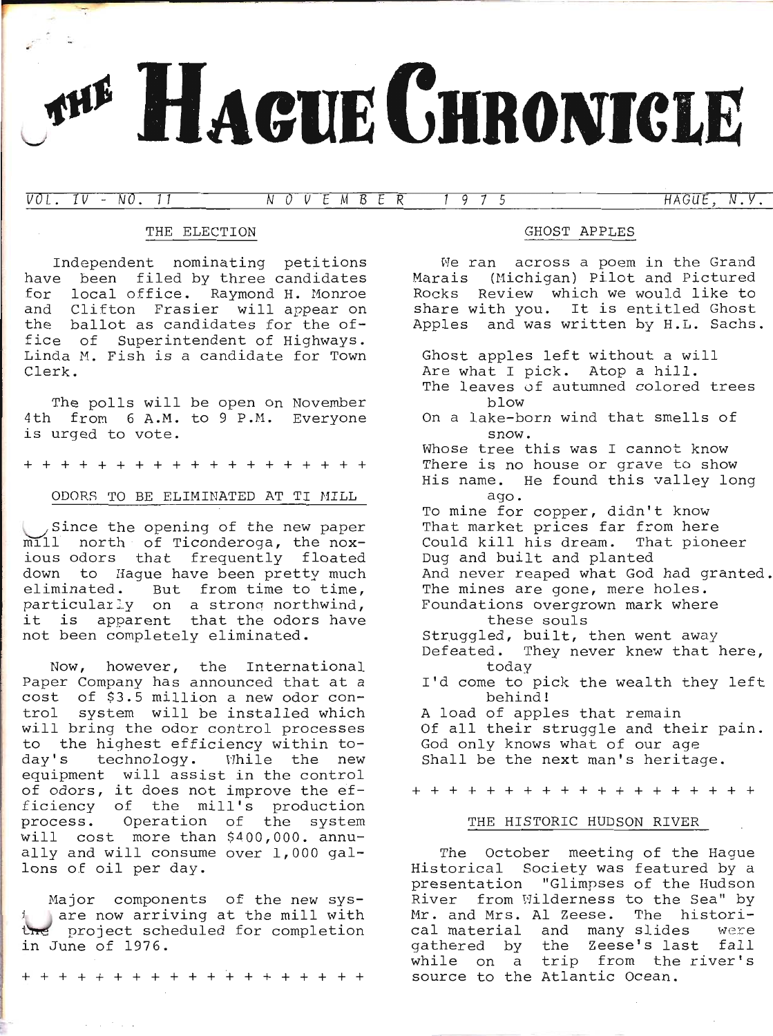# HAGUE CHRONICLE

VOL. IV - NO. 11 NOVEMBER 1975 HAGUE, N.V.

# THE ELECTION

Independent nominating petitions have been filed by three candidates for local office. Raymond H. Monroe and Clifton Frasier will appear on the ballot as candidates for the office of Superintendent of Highways.<br>Linda M. Fish is a candidate for Town Clerk.

The polls will be open on November 4th from 6 A.M. to 9 P.M. Everyone is urged to vote.

+++++++++++ ++++++++

## ODORS TO BE ELIMINATED AT TI MILL

Since the opening of the new paper mill north of Ticonderoga, the noxious odors that frequently floated down to Hague have been pretty much<br>eliminated. But from time to time, particularly on a strong northwind,<br>it is apparent that the odors have not been completely eliminated.

Now, however, the International Paper Company has announced that at a cost of \$3.5 million a new odor control system will be installed which will bring the odor control processes<br>to the highest efficiency within today's technology. While the new equipment will assist in the control of odors, it does not improve the efficiency of the mill's production process. Operation of the system will cost more than \$400,000. annually and will consume over 1,000 gal-<br>lons of oil per day.

Major components of the new sys-<br>Jare now arriving at the mill with the project scheduled for completion<br>in June of 1976.

+++++++++++++++++++

## GHOST APPLES

.<br>We ran across a poem in the Grand me fan deross a poem in ene orano<br>Marais (Michigan) Pilot and Pictured Marais (Hienigan) Tiroc and Tiecared<br>Rocks Review which we would like to share with you. It is entitled Ghost Apples and was written by H.L. Sachs.

Ghost apples left without a will Are what I pick. Atop a hill. The leaves of autumned colored trees blow On a lake-born wind that smells of snow. Whose tree this was I cannot know There is no house or grave to show His name. He found this valley long ago - To mine for copper, didn't know That market prices far from here Could kiIl his dream. That pioneer Dug and built and planted And never reaped what God had granted. The mines are gone, mere holes. Foundations overgrown mark where these souls Struggled, built, then went away Defeated. They never knew that here, today<br>I'd come to pick the wealth they left behind ! A load of apples that remain Of all their struggle and their pain. God only knows what of our age Shall be the next man's heritage.

+ + + + + + + + + + + + + + + + + + -l-

#### THE HISTORIC HIJDSON RIVER

The October meeting of the Hague Historical Society was featured by a presentation "Glimpses of the Hudson River from Wilderness to the Sea" by Mr. and Mrs. Al Zeese. The historical material and many slides were gathered by the Zeese's last fall while on a trip from the river's source to the Atlantic Ocean.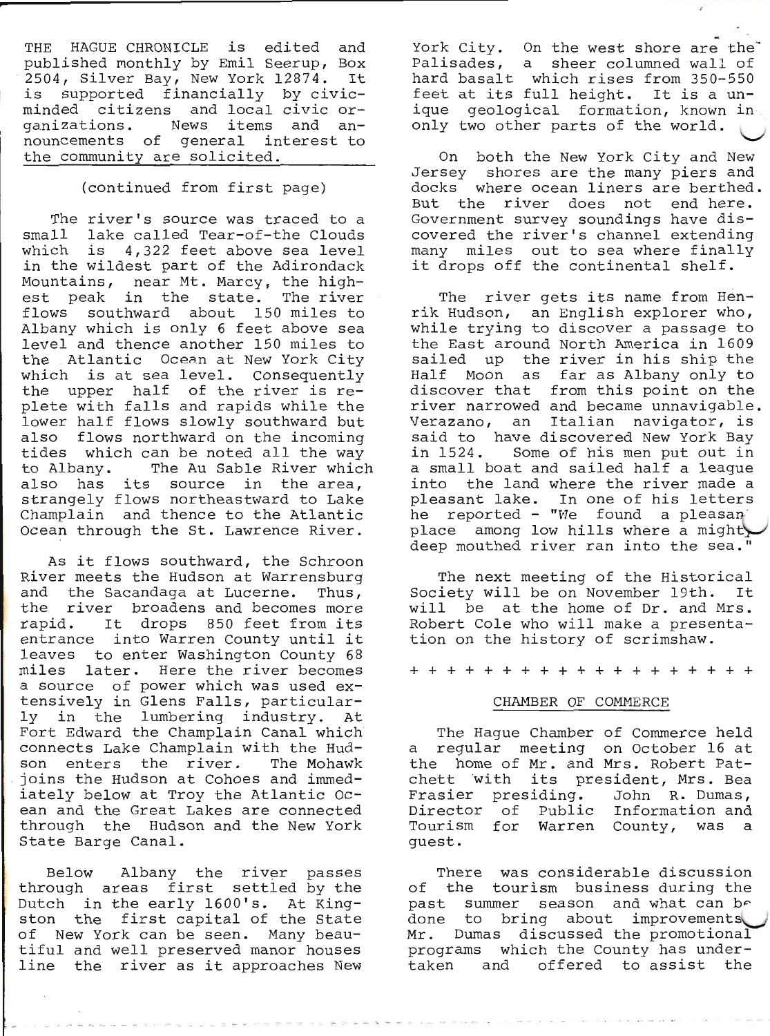THE HAGUE CHRONICLE is edited and<br>published monthly by Emil Seerup, Box<br>2504, Silver Bay, New York 12874. It<br>is supported financially by civic-<br>minded citizens and local civic organizations. News items and an-<br>nouncements of general interest to<br>the community are solicited.

# (continued from first page)

The river's source was traced to a<br>small lake called Tear-of-the Clouds<br>which is 4,322 feet above sea level<br>in the wildest part of the Adirondack<br>Mountains, near Mt. Marcy, the high-<br>est peak in the state. The river<br>flows Ocean through the St. Lawrence River.

As it flows southward, the Schroon<br>River meets the Hudson at Warrensburg<br>and the Sacandaga at Lucerne. Thus,<br>the river broadens and becomes more<br>rapid. It drops 850 feet from its<br>entrance into Warren County until it<br>leaves a source of power which was used ex-<br>tensively in Glens Falls, particular-<br>ly in the lumbering industry. At<br>Fort Edward the Champlain Canal which connects Lake Champlain with the Hud-<br>son enters the river. The Mohawk joins the Hudson at Cohoes and immed-<br>iately below at Troy the Atlantic Ocean and the Great Lakes are connected through the Hudson and the New york State Barge Canal.

Below Albany the river passes<br>through areas first settled by the<br>Dutch in the early 1600's. At King-<br>ston the first capital of the State<br>of New York can be seen. Many beau-<br>tiful and well preserved manor houses<br>line the ri

York City. On the west shore are the<br>Palisades, a sheer columned wall of<br>hard basalt which rises from 350-550<br>feet at its full height. It is a un-<br>ique geological formation, known in<br>only two other parts of the world.

On both the New York City and New Jersey shores are the many piers and docks where ocean liners are berthed.<br>But the river does not end here. Government survey soundings have dis-<br>covered the river's channel extending many miles out to sea where finally<br>it drops off the continental shelf.

The river gets its name from Hen-<br>rik Hudson, an English explorer who,<br>while trying to discover a passage to<br>the East around North America in 1609<br>sailed up the river in his ship the<br>Half Moon as far as Albany only to<br>disc into the land where the river made a<br>pleasant lake. In one of his letters<br>he reported - "We found a pleasan<br>place among low hills where a might,<br>deep mouthed river ran into the sea."

The next meeting of the Historical Society will be on November 19th. It will be at the home of Dr. and Mrs. Robert Cole who will make a presenta- tion on the history of scrimshaw.

+++++++++++++++++++

#### CHAMBER OF COMMERCE

The Hague Chamber of Commerce held<br>a regular meeting on October 16 at the home of Mr. and Mrs. Robert Pat-<br>chett 'with its president, Mrs. Bea<br>Frasier presiding. John R. Dumas,<br>Director of Public Information and<br>Tourism for Warren County, was a guest.

There was considerable discussion of the tourism business during the past summer season and what can be done to bring about improvements Mr. Dumas discussed the promotional programs which the County has undertaken and offered to assist the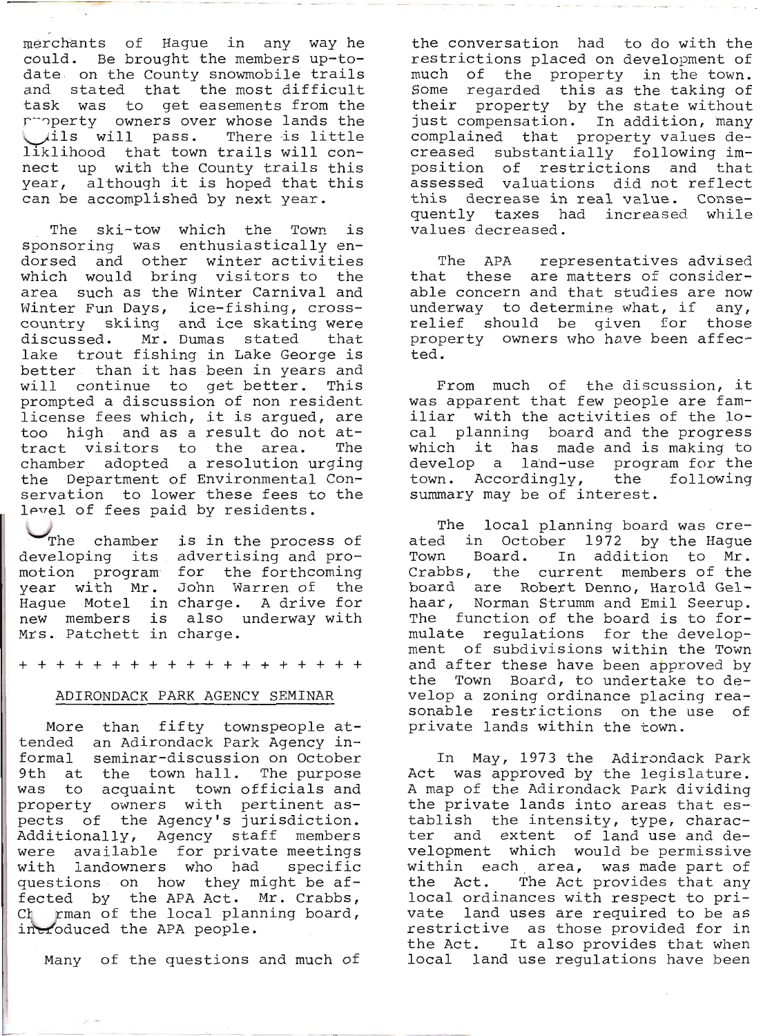merchants of Hague in any way he could. Be brought the members up-to-<br>date on the County snowmobile trails<br>and stated that the most difficult<br>task was to get easements from the<br>r\*perty owners over whose lands the Uils will pass. There is little<br>liklihood that town trails will con-<br>nect up with the County trails this year, although it is hoped that this can be accomplished by next year.

The ski-tow which the Town is sponsoring was enthusiastically en-<br>dorsed and other winter activities<br>which would bring visitors to the<br>area such as the Winter Carnival and Winter Fun Days, ice-fishing, crosscountry skiing and ice skating were<br>discussed. Mr. Dumas stated that<br>lake trout fishing in Lake George is<br>better than it has been in years and<br>will continue to get better. This prompted a discussion of non resident<br>license fees which, it is argued, are<br>too high and as a result do not attract visitors to the area. The chamber adopted a resolution urging the Department of Environmental Con- servation to lower these fees to the lerrel of fees paid by residents.

whe chamber<br>developing its<br>motion program<br>year with Mr. Hague Motel in charge. A drive for new members is also<br>new members is also<br>Mrs. Patchett in charge. is in the process of<br>advertising and pro-<br>for the forthcoming<br>John Warren of the<br>charge. A drive for<br>also underway with

++++++++ +++++++++++

# ADIRONDACK PARK AGENCY SEMINAR

More than fifty townspeople at-<br>tended an Adirondack Park Agency in-<br>formal seminar-discussion on October<br>9th at the town hall. The purpose<br>was to acquaint town officials and<br>property owners with pertinent as-<br>pects of the were available for private meetings<br>with landowners who had specific<br>questions on how they might be af-<br>fected by the APA Act. Mr. Crabbs,<br>Ct rman of the local planning board,<br>introduced the APA people.

Many of the questions and much of

the conversation had to do with the<br>restrictions placed on development of<br>much of the property in the town.<br>Some regarded this as the taking of<br>their property by the state without<br>just compensation. In addition, many<br>compl

The APA representatives advised<br>that these are matters of consider-<br>able concern and that studies are now<br>underway to determine what, if any,<br>relief should be given for those<br>property owners who have been affected.

From much of the discussion, it<br>was apparent that few people are familiar with the activities of the lo-<br>cal planning board and the progress<br>which it has made and is making to<br>develop a land-use program for the<br>town. Accordingly, the following summary may be of interest.

The local planning board was cre-<br>ated in October 1972 by the Hague<br>Town Board. In addition to Mr.<br>Crabbs, the current members of the<br>board are Robert Denno, Harold Gel-<br>haar, Norman Strumm and Emil Seerup.<br>The function of the Town Board, to undertake to de-<br>velop a zoning ordinance placing rea-<br>sonable restrictions on the use of<br>private lands within the town.

In May, 1973 the Adirondack Park<br>Act was approved by the legislature.<br>A map of the Adirondack Park dividing<br>the private lands into areas that es-<br>tablish the intensity, type, charac-<br>ter and extent of land use and de-<br>velo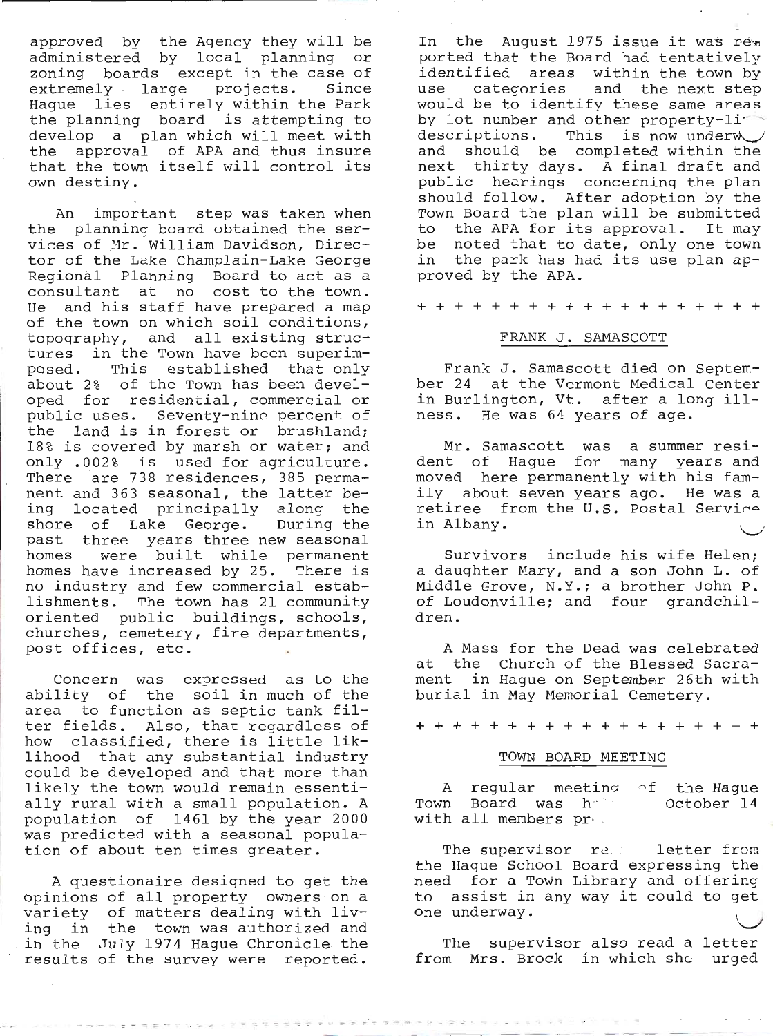approved by the Agency they will be administered by local planning or zoning boards except in the case of extremely large projects. Since Hague lies entirely within the Park the planning board is attempting to develop a plan which will meet with the approval of APA and thus insure that the town itself will control its own destiny.

An important step was taken when the planning board obtained the services of Mr. William Davidson, Director of the Lake Champlain-Lake George Regional Planning Board to act as a consultant at no cost to the town. He and his staff have prepared a map of the town on which soil conditions, topography, and all existing structures in the Town have been superim-<br>posed. This established that only about 2% of the Town has been developed for residential, commercial or public uses. Seventy-nine percent of the land is in forest or brushland; 18% is covered by marsh or water; and only .0022 is used for agriculture. There are 738 residences, 385 permanent and 363 seasonal, the latter being located principally along the<br>shore of Lake George. During the shore of Lake George. past three years three new seasonal<br>homes were built while permanent were built while permanent homes have increased by 25. There is no industry and few commercial establishments. The town has 21 community<br>oriented public buildings, schools, churches, cemetery, fire departments,<br>post offices, etc.

Concern was expressed as to the ability of the soil in much of the area to function as septic tank fi1 ter fields. A1so, that regardless of how classified, there is little lik-<br>lihood that any substantial industry could be developed and that more than 1ike1y the town would remain essentia1ly rural with a smal1 population. A population of 1461 bY the Year 2000 was predicted with a seasonal popula-<br>tion of about ten times greater.

A questionaire designed to get the opinions of all property owners on a variety of matters dealing with living in the town was authorized and in the July 1974 Hague Chronicle the results of the survey were reported.

In the August 1975 issue it was rem ported that the Board had tentatively identified areas within the town by<br>use categories and the next step use categories and the next step would be to identify these same areas by lot number and other property-li<sup>-1</sup> descriptions. This is now underw and should be completed within the next thirty days. A final draft and public hearings concerning the plan should follow. After adoption by the Town Board the plan will be submitted to the APA for its approval. It maY be noted that to date, only one town in the park has had its use plan approved by the APA.

+++++++++++++++++++

## FRANK J. SAMASCOTT

Frank J. Samascott died on September 24 at the Vermont Medical Center in Burlington, Vt. after a long i11 ness. He was 64 years of age.

Mr. Samascott was a summer resident of Hague for many Years and moved here permanently with his famiIy about seven Years ago. He was a retiree from the U.S. Postal Service in Albany.

Survivors include his wife Helen; a daughter Mary, and a son John L. of Middle Grove, N.Y.; a brother John P. of Loudonville; and four grandchil-<br>dren.

A Mass for the Dead was celebrated at the Church of the Blessed Sacrament in Hague on September 26th with burial in May Memorial Cemetery.

+++++++++++++++++++

#### TOWN BOARD MEETING

A regular meetin $\sigma$  of the Hague Town Board was h with all members pre. October 14

The supervisor re. letter from the Hague School Board expressing the<br>need for a Town Library and offering to assist in any way it could to get one underway.

The supervisor also read a letter from Mrs. Brock in which she urged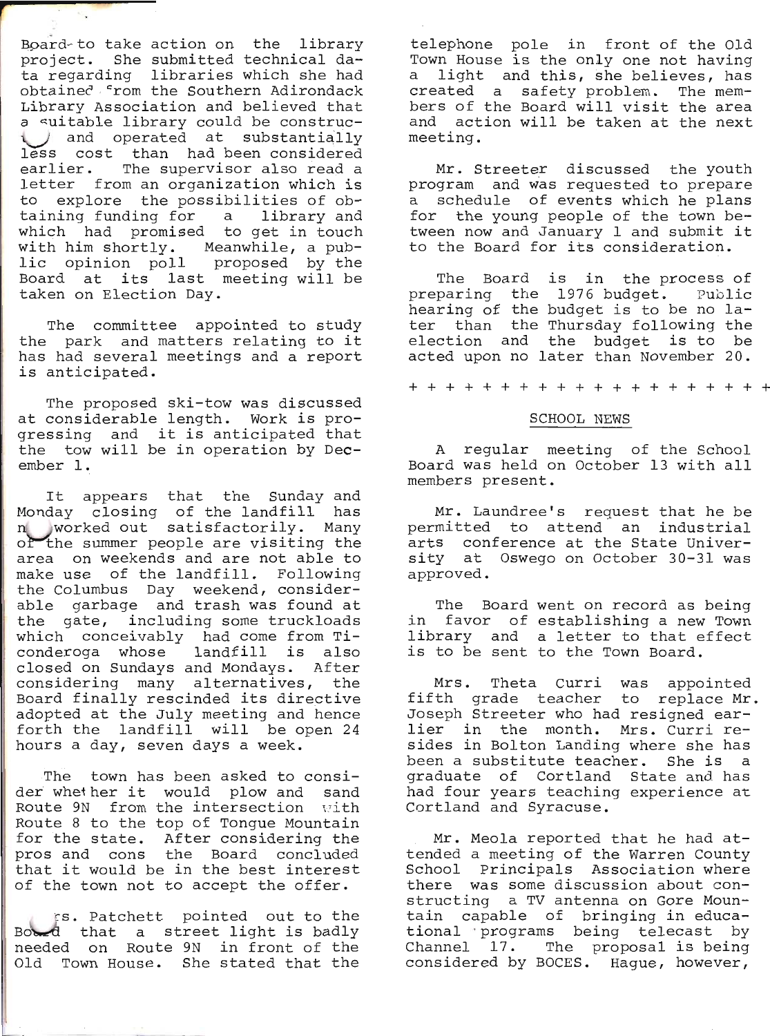Board-to take action on the library<br>project. She submitted technical da-<br>ta regarding libraries which she had obtaineC. "rom the Southern Adirondack Library Association and believed that Library Association and believed that<br>a suitable library could be construcand operated at substantially<br>less cost than had been considered<br>earlier. The supervisor also read a<br>letter from an organization which is to explore the possibilities of ob-<br>taining funding for a library and<br>which had promised to get in touch<br>with him shortly. Meanwhile, a pub-<br>lic opinion poll proposed by the<br>Board at its last meeting will be<br>taken on Elect

The committee appointed to study the park and matters relating to it has had several meetings and a report<br>is anticipated.

The proposed ski-tow was discussed<br>at considerable length. Work is pro-<br>gressing and it is anticipated that<br>the tow will be in operation by December l-.

It appears that the Sunday and<br>Monday closing of the landfill has<br>n worked out satisfactorily. Many of the summer people are visiting the area on weekends and are not able to<br>make use of the landfill. Following the Columbus Day weekend, consider-<br>able garbage and trash was found at<br>the gate, including some truckloads<br>which conceivably had come from Ticonderoga whose landfill is also closed on Sundays and Mondays. After considering many alternatives, the Board finally rescinded its directive adopted at the July meeting and hence forth the landfill will be open 24 hours a day, seven days a week.

The town has been asked to consi- der whether it would plow and sand Route 9N from the intersection with<br>Route 8 to the top of Tongue Mountain<br>for the state. After considering the<br>pros and cons the Board concluded that it would be in the best interest<br>of the town not to accept the offer.

Fs. Patchett pointed out to the Bootd that a street light is badly needed on Route 9N in front of the Old Town House. She stated that the

telephone pole in front of the Old<br>Town House is the only one not having a light and this, she believes, has<br>created a safety problem. The mem-<br>bers of the Board will visit the area<br>and action will be taken at the next meeting.

Mr. Streeter discussed the youth<br>program and was requested to prepare<br>a schedule of events which he plans<br>for the young people of the town between now and January 1 and submit it<br>to the Board for its consideration.

The Board is in the process of<br>preparing the 1976 budget. Public<br>hearing of the budget is to be no later than the Thursday following the<br>election and the budget is to be<br>acted upon no later than November 20.

++++++++++++++++++++

## SCHOOL NEWS

A regular meeting of the School Board was held on October 13 with all members present.

Mr. Laundree's request that he be<br>permitted to attend an industrial<br>arts conference at the State Univer-<br>sity at Oswego on October 30-31 was approved.

The Board went on record as being<br>in favor of establishing a new Town<br>library and a letter to that effect<br>is to be sent to the Town Board.

Mrs. Theta Curri was appointed<br>fifth grade teacher to replace Mr.<br>Joseph Streeter who had resigned earlier in the month. Mrs. Curri re-<br>sides in Bolton Landing where she has been a substitute teacher. She is a<br>graduate of Cortland State and has had four years teaching experience at<br>Cortland and Syracuse.

Mr. Meola reported that he had at-<br>tended a meeting of the Warren County School Principals Association where<br>there was some discussion about con-<br>structing a TV antenna on Gore Moun-<br>tain capable of bringing in educa-<br>tional programs being telecast by<br>Channel 17. The proposal is being<br>considere